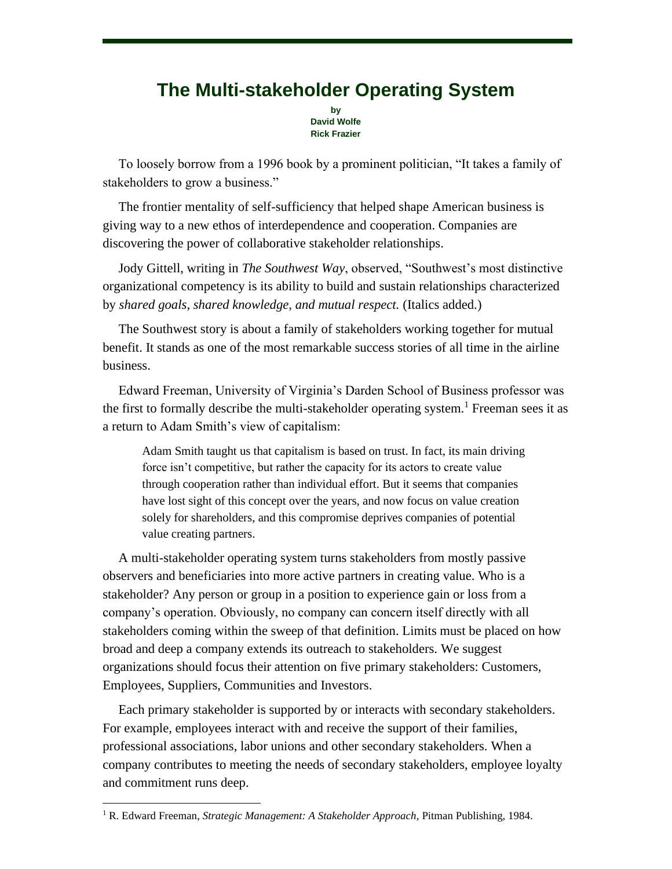## **The Multi-stakeholder Operating System**

**by David Wolfe Rick Frazier**

To loosely borrow from a 1996 book by a prominent politician, "It takes a family of stakeholders to grow a business."

The frontier mentality of self-sufficiency that helped shape American business is giving way to a new ethos of interdependence and cooperation. Companies are discovering the power of collaborative stakeholder relationships.

Jody Gittell, writing in *The Southwest Way*, observed, "Southwest's most distinctive organizational competency is its ability to build and sustain relationships characterized by *shared goals, shared knowledge, and mutual respect.* (Italics added.)

The Southwest story is about a family of stakeholders working together for mutual benefit. It stands as one of the most remarkable success stories of all time in the airline business.

Edward Freeman, University of Virginia's Darden School of Business professor was the first to formally describe the multi-stakeholder operating system.<sup>1</sup> Freeman sees it as a return to Adam Smith's view of capitalism:

Adam Smith taught us that capitalism is based on trust. In fact, its main driving force isn't competitive, but rather the capacity for its actors to create value through cooperation rather than individual effort. But it seems that companies have lost sight of this concept over the years, and now focus on value creation solely for shareholders, and this compromise deprives companies of potential value creating partners.

A multi-stakeholder operating system turns stakeholders from mostly passive observers and beneficiaries into more active partners in creating value. Who is a stakeholder? Any person or group in a position to experience gain or loss from a company's operation. Obviously, no company can concern itself directly with all stakeholders coming within the sweep of that definition. Limits must be placed on how broad and deep a company extends its outreach to stakeholders. We suggest organizations should focus their attention on five primary stakeholders: Customers, Employees, Suppliers, Communities and Investors.

Each primary stakeholder is supported by or interacts with secondary stakeholders. For example, employees interact with and receive the support of their families, professional associations, labor unions and other secondary stakeholders. When a company contributes to meeting the needs of secondary stakeholders, employee loyalty and commitment runs deep.

<sup>1</sup> R. Edward Freeman, *Strategic Management: A Stakeholder Approach*, Pitman Publishing, 1984.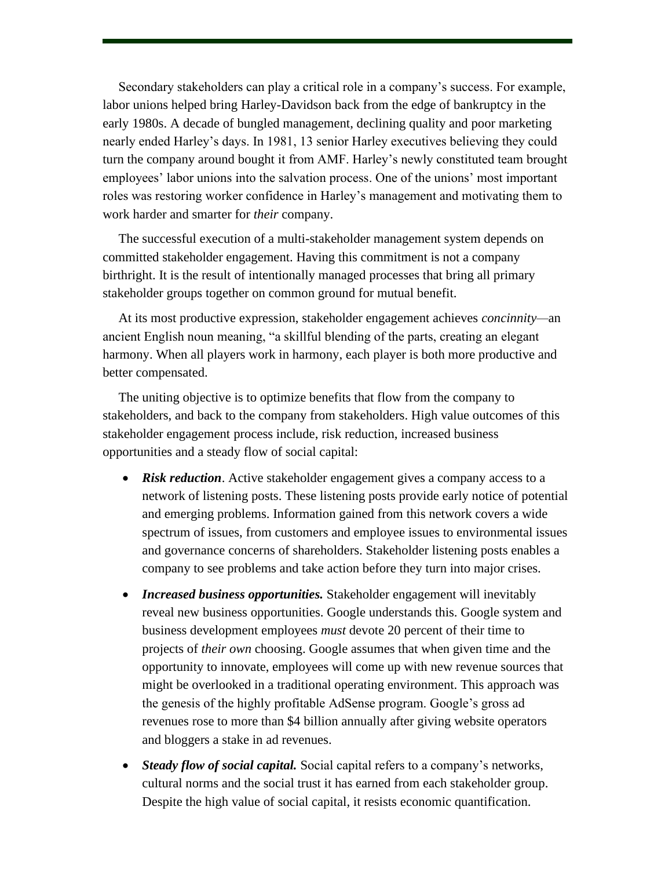Secondary stakeholders can play a critical role in a company's success. For example, labor unions helped bring Harley-Davidson back from the edge of bankruptcy in the early 1980s. A decade of bungled management, declining quality and poor marketing nearly ended Harley's days. In 1981, 13 senior Harley executives believing they could turn the company around bought it from AMF. Harley's newly constituted team brought employees' labor unions into the salvation process. One of the unions' most important roles was restoring worker confidence in Harley's management and motivating them to work harder and smarter for *their* company.

The successful execution of a multi-stakeholder management system depends on committed stakeholder engagement. Having this commitment is not a company birthright. It is the result of intentionally managed processes that bring all primary stakeholder groups together on common ground for mutual benefit.

At its most productive expression, stakeholder engagement achieves *concinnity—*an ancient English noun meaning, "a skillful blending of the parts, creating an elegant harmony. When all players work in harmony, each player is both more productive and better compensated.

The uniting objective is to optimize benefits that flow from the company to stakeholders, and back to the company from stakeholders. High value outcomes of this stakeholder engagement process include, risk reduction, increased business opportunities and a steady flow of social capital:

- *Risk reduction*. Active stakeholder engagement gives a company access to a network of listening posts. These listening posts provide early notice of potential and emerging problems. Information gained from this network covers a wide spectrum of issues, from customers and employee issues to environmental issues and governance concerns of shareholders. Stakeholder listening posts enables a company to see problems and take action before they turn into major crises.
- *Increased business opportunities.* Stakeholder engagement will inevitably reveal new business opportunities. Google understands this. Google system and business development employees *must* devote 20 percent of their time to projects of *their own* choosing. Google assumes that when given time and the opportunity to innovate, employees will come up with new revenue sources that might be overlooked in a traditional operating environment. This approach was the genesis of the highly profitable AdSense program. Google's gross ad revenues rose to more than \$4 billion annually after giving website operators and bloggers a stake in ad revenues.
- *Steady flow of social capital.* Social capital refers to a company's networks, cultural norms and the social trust it has earned from each stakeholder group. Despite the high value of social capital, it resists economic quantification.